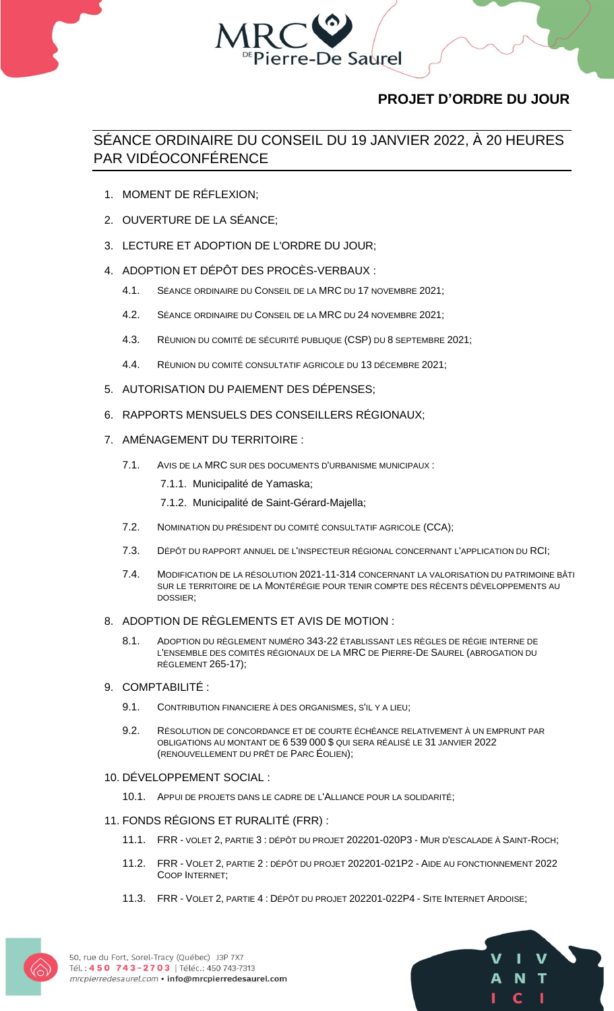

# **PROJET D'ORDRE DU JOUR**

## SÉANCE ORDINAIRE DU CONSEIL DU 19 JANVIER 2022, À 20 HEURES PAR VIDÉOCONFÉRENCE

- 1. MOMENT DE RÉFLEXION;
- 2. OUVERTURE DE LA SÉANCE;
- 3. LECTURE ET ADOPTION DE L'ORDRE DU JOUR;
- 4. ADOPTION ET DÉPÔT DES PROCÈS-VERBAUX :
	- 4.1. SÉANCE ORDINAIRE DU CONSEIL DE LA MRC DU 17 NOVEMBRE 2021;
	- 4.2. SÉANCE ORDINAIRE DU CONSEIL DE LA MRC DU 24 NOVEMBRE 2021;
	- 4.3. RÉUNION DU COMITÉ DE SÉCURITÉ PUBLIQUE (CSP) DU 8 SEPTEMBRE 2021;
	- 4.4. RÉUNION DU COMITÉ CONSULTATIF AGRICOLE DU 13 DÉCEMBRE 2021;
- 5. AUTORISATION DU PAIEMENT DES DÉPENSES;
- 6. RAPPORTS MENSUELS DES CONSEILLERS RÉGIONAUX;
- 7. AMÉNAGEMENT DU TERRITOIRE :
	- 7.1. AVIS DE LA MRC SUR DES DOCUMENTS D'URBANISME MUNICIPAUX :
		- 7.1.1. Municipalité de Yamaska;
		- 7.1.2. Municipalité de Saint-Gérard-Majella;
	- 7.2. NOMINATION DU PRÉSIDENT DU COMITÉ CONSULTATIF AGRICOLE (CCA);
	- 7.3. DÉPÔT DU RAPPORT ANNUEL DE L'INSPECTEUR RÉGIONAL CONCERNANT L'APPLICATION DU RCI;
	- 7.4. MODIFICATION DE LA RÉSOLUTION 2021-11-314 CONCERNANT LA VALORISATION DU PATRIMOINE BÂTI SUR LE TERRITOIRE DE LA MONTÉRÉGIE POUR TENIR COMPTE DES RÉCENTS DÉVELOPPEMENTS AU DOSSIER;

## 8. ADOPTION DE RÈGLEMENTS ET AVIS DE MOTION :

- 8.1. ADOPTION DU RÈGLEMENT NUMÉRO 343-22 ÉTABLISSANT LES RÈGLES DE RÉGIE INTERNE DE L'ENSEMBLE DES COMITÉS RÉGIONAUX DE LA MRC DE PIERRE-DE SAUREL (ABROGATION DU RÈGLEMENT 265-17);
- 9. COMPTABILITÉ :
	- 9.1. CONTRIBUTION FINANCIERE À DES ORGANISMES, S'IL Y A LIEU;
	- 9.2. RÉSOLUTION DE CONCORDANCE ET DE COURTE ÉCHÉANCE RELATIVEMENT À UN EMPRUNT PAR OBLIGATIONS AU MONTANT DE 6 539 000 \$ QUI SERA RÉALISÉ LE 31 JANVIER 2022 (RENOUVELLEMENT DU PRÊT DE PARC ÉOLIEN);

## 10. DÉVELOPPEMENT SOCIAL :

- 10.1. APPUI DE PROJETS DANS LE CADRE DE L'ALLIANCE POUR LA SOLIDARITÉ;
- 11. FONDS RÉGIONS ET RURALITÉ (FRR) :
	- 11.1. FRR VOLET 2, PARTIE 3 : DÉPÔT DU PROJET 202201-020P3 MUR D'ESCALADE À SAINT-ROCH;
	- 11.2. FRR VOLET 2, PARTIE 2 : DÉPÔT DU PROJET 202201-021P2 AIDE AU FONCTIONNEMENT 2022 COOP INTERNET;
	- 11.3. FRR VOLET 2, PARTIE 4 : DÉPÔT DU PROJET 202201-022P4 SITE INTERNET ARDOISE;